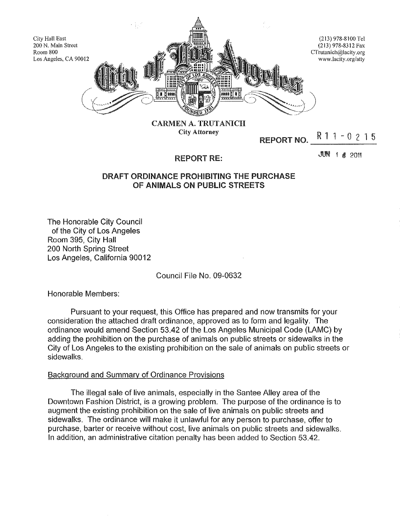

City Attorney

REPORT NO.  $R$  1 1 - 0 2 1 5

REPORT RE:

**JUN 1 & 2011** 

# DRAFT ORDINANCE PROHIBITING THE PURCHASE OF ANIMALS ON PUBLIC STREETS

The Honorable City Council of the City of Los Angeles Room 395, City Hall 200 North Spring Street Los Angeles, California 90012

## Council File No. 09-0632

Honorable Members:

Pursuant to your request, this Office has prepared and now transmits for your consideration the attached draft ordinance, approved as to form and legality. The ordinance would amend Section 53.42 of the Los Angeles Municipal Code (LAMC) by adding the prohibition on the purchase of animals on public streets or sidewalks in the City of Los Angeles to the existing prohibition on the sale of animals on public streets or sidewalks.

### Background and Summary of Ordinance Provisions

The illegal sale of live animals, especially in the Santee Alley area of the Downtown Fashion District, is a growing problem. The purpose of the ordinance is to augment the existing prohibition on the sale of live animals on public streets and sidewalks. The ordinance will make it unlawful for any person to purchase, offer to purchase, barter or receive without cost, live animals on public streets and sidewalks. **In** addition, an administrative citation penalty has been added to Section 53.42.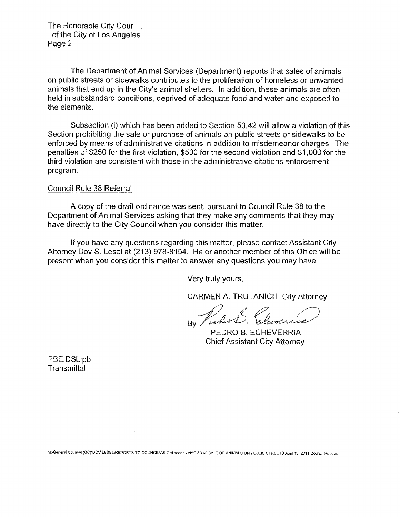The Honorable City Cour, ... of the City of Los Angeles Page 2

The Department of Animal Services (Department) reports that sales of animals on public streets or sidewalks contributes to the proliferation of homeless or unwanted animals that end up in the City's animal shelters. In addition, these animals are often held in substandard conditions, deprived of adequate food and water and exposed to the elements.

Subsection (i) which has been added to Section 53.42 **will** allow a violation of this Section prohibiting the sale or purchase of animals on public streets or sidewalks to be enforced by means of administrative citations in addition to misdemeanor charges. The penalties of \$250 for the first violation, \$500 for the second violation and \$1,000 for the third violation are consistent with those in the administrative citations enforcement program.

### Council Rule 38 Referral

A copy of the draft ordinance was sent, pursuant to Council Rule 38 to the Department of Animal Services asking that they make any comments that they may have directly to the City Council when you consider this matter.

If you have any questions regarding this matter, please contact Assistant City Attorney Dov S. Lesel at (213) 978-8154. He or another member of this Office will be present when you consider this matter to answer any questions you may have.

Very truly yours,

CARMEN A. TRUTANICH, City Attorney

 $_{\rm By}$  Picker S.

PEDRO B. ECHEVERRIA Chief Assistant City Attorney

PBE:DSL:pb **Transmittal** 

M:\General Counsel (GC)\DOV LESEL\REPORTS TO COUNCIL\AS Ordinance LAMC 53.42 SALE OF ANIMALS ON PUBLIC STREETS April 13, 2011 Council Rpl.doc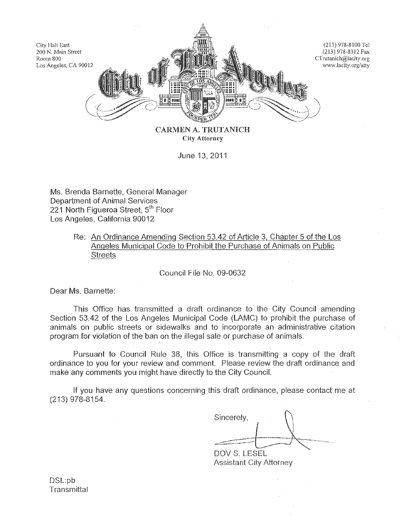

City Attorney

June 13, 2011

Ms. Brenda Barnette, General Manager Department of Animal Services 221 North Figueroa Street, 5<sup>th</sup> Floor Los Angeles, California 90012

> Re: An Ordinance Amending Section 53.42 of Article 3, Chapter 5 of the Los Angeles Municipal Code to Prohibit the Purchase of Animals on Public **Streets**

> > Council File No. 09-0632

Dear Ms. Barnette:

This Office has transmitted a draft ordinance to the City Council amending Section 53.42 of the Los Angeles Municipal Code (LAMC) to prohibit the purchase of animals on public streets or sidewalks and to incorporate an administrative citation program for violation of the ban on the illegal sale or purchase of animals.

Pursuant to Council Rule 38, this Office is transmitting a copy of the draft ordinance to you for your review and comment. Please review the draft ordinance and make any comments you might have directly to the City Council.

If you have any questions concerning this draft ordinance.' please contact me at (213) 978-8154.

| Sincerely,   |  |
|--------------|--|
|              |  |
| DOV S. LESEL |  |

Assistant City Attorney

DSL:pb **Transmittal**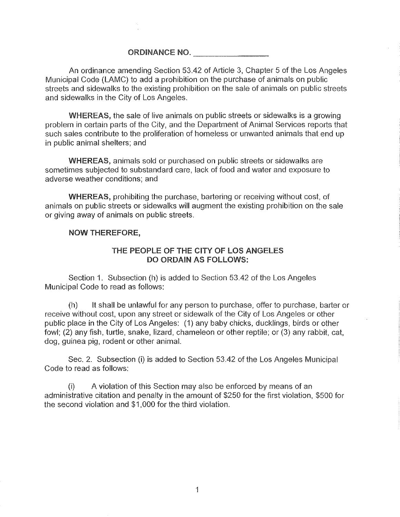# ORDINANCE NO.

An ordinance amending Section 53,42 of Article 3, Chapter 5 of the Los Angeles Municipal Code (LAMC) to add a prohibition on the purchase of animals on public streets and sidewalks to the existing prohibition on the sale of animals on public streets and sidewalks in the City of Los Angeles.

WHEREAS, the sale of live animals on public streets or sidewalks is a growing problem in certain parts of the City, and the Department of Animal Services reports that such sales contribute to the proliferation of homeless or unwanted animals that end up **in** public animal shelters; and

WHEREAS, animals sold or purchased on public streets or sidewalks are sometimes subjected to substandard care, lack of food and water and exposure to adverse weather conditions; and

WHEREAS, prohibiting the purchase, bartering or receiving without cost, of animals on public streets or sidewalks will augment the existing prohibition on the sale or giving away of animals on public streets.

### NOW THEREFORE,

## THE PEOPLE OF THE CITY OF LOS ANGELES DO ORDAIN AS FOllOWS:

Section 1. Subsection (h) is added to Section 53,42 of the Los Angeles Municipal Code to read as follows:

(h) It shall be unlawful for any person to purchase, offer to purchase, barter or receive without cost, upon any street or sidewalk of the City of Los Angeles or other public place in the City of Los Angeles: (1) any baby chicks, ducklings, birds or other fowl; (2) any fish, turtle, snake, lizard, chameleon or other reptile; or (3) any rabbit, cat, dog, guinea pig, rodent or other animal.

Sec. 2. Subsection (i) is added to Section 53.42 of the Los Angeles Municipal Code to read as follows:

(i) A violation of this Section may also be enforced by means of an administrative citation and penalty in the amount of \$250 for the first violation, \$500 for the second violation and \$1,000 for the third violation.